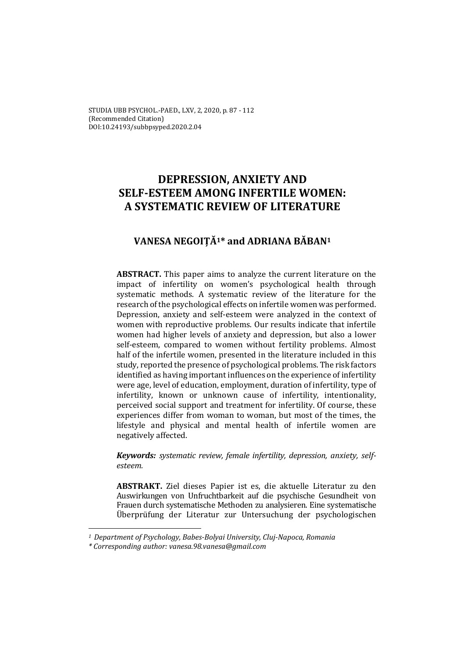STUDIA UBB PSYCHOL.-PAED., LXV, 2, 2020, p. 87 - 112 (Recommended Citation) DOI:10.24193/subbpsyped.2020.2.04

# **DEPRESSION, ANXIETY AND SELF-ESTEEM AMONG INFERTILE WOMEN: A SYSTEMATIC REVIEW OF LITERATURE**

# **VANESA NEGOIȚĂ1\* and ADRIANA BĂBAN1**

**ABSTRACT.** This paper aims to analyze the current literature on the impact of infertility on women's psychological health through systematic methods. A systematic review of the literature for the research of the psychological effects on infertile women was performed. Depression, anxiety and self-esteem were analyzed in the context of women with reproductive problems. Our results indicate that infertile women had higher levels of anxiety and depression, but also a lower self-esteem, compared to women without fertility problems. Almost half of the infertile women, presented in the literature included in this study, reported the presence of psychological problems. The risk factors identified as having important influences on the experience of infertility were age, level of education, employment, duration of infertility, type of infertility, known or unknown cause of infertility, intentionality, perceived social support and treatment for infertility. Of course, these experiences differ from woman to woman, but most of the times, the lifestyle and physical and mental health of infertile women are negatively affected.

*Keywords: systematic review, female infertility, depression, anxiety, selfesteem.* 

**ABSTRAKT.** Ziel dieses Papier ist es, die aktuelle Literatur zu den Auswirkungen von Unfruchtbarkeit auf die psychische Gesundheit von Frauen durch systematische Methoden zu analysieren. Eine systematische Überprüfung der Literatur zur Untersuchung der psychologischen

 $\overline{\phantom{a}}$ 

*<sup>1</sup> Department of Psychology, Babes-Bolyai University, Cluj-Napoca, Romania* 

*<sup>\*</sup> Corresponding author: vanesa.98.vanesa@gmail.com*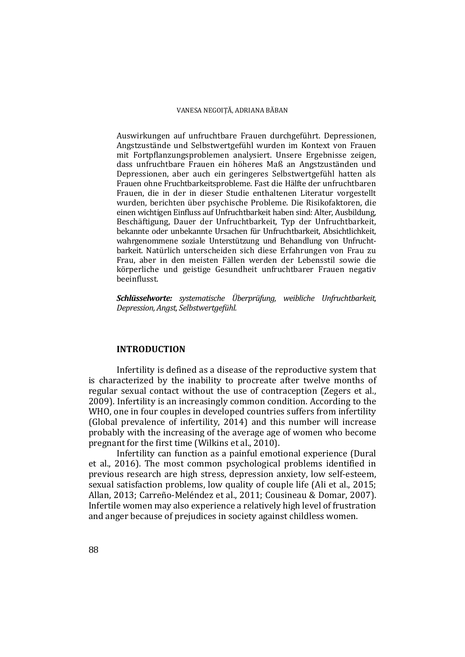Auswirkungen auf unfruchtbare Frauen durchgeführt. Depressionen, Angstzustände und Selbstwertgefühl wurden im Kontext von Frauen mit Fortpflanzungsproblemen analysiert. Unsere Ergebnisse zeigen, dass unfruchtbare Frauen ein höheres Maß an Angstzuständen und Depressionen, aber auch ein geringeres Selbstwertgefühl hatten als Frauen ohne Fruchtbarkeitsprobleme. Fast die Hälfte der unfruchtbaren Frauen, die in der in dieser Studie enthaltenen Literatur vorgestellt wurden, berichten über psychische Probleme. Die Risikofaktoren, die einen wichtigen Einfluss auf Unfruchtbarkeit haben sind: Alter, Ausbildung, Beschäftigung, Dauer der Unfruchtbarkeit, Typ der Unfruchtbarkeit, bekannte oder unbekannte Ursachen für Unfruchtbarkeit, Absichtlichkeit, wahrgenommene soziale Unterstützung und Behandlung von Unfruchtbarkeit. Natürlich unterscheiden sich diese Erfahrungen von Frau zu Frau, aber in den meisten Fällen werden der Lebensstil sowie die körperliche und geistige Gesundheit unfruchtbarer Frauen negativ beeinflusst.

*Schlüsselworte: systematische Überprüfung, weibliche Unfruchtbarkeit, Depression, Angst, Selbstwertgefühl.* 

#### **INTRODUCTION**

Infertility is defined as a disease of the reproductive system that is characterized by the inability to procreate after twelve months of regular sexual contact without the use of contraception (Zegers et al., 2009). Infertility is an increasingly common condition. According to the WHO, one in four couples in developed countries suffers from infertility (Global prevalence of infertility, 2014) and this number will increase probably with the increasing of the average age of women who become pregnant for the first time (Wilkins et al., 2010).

Infertility can function as a painful emotional experience (Dural et al., 2016). The most common psychological problems identified in previous research are high stress, depression anxiety, low self-esteem, sexual satisfaction problems, low quality of couple life (Ali et al., 2015; Allan, 2013; Carreño-Meléndez et al., 2011; Cousineau & Domar, 2007). Infertile women may also experience a relatively high level of frustration and anger because of prejudices in society against childless women.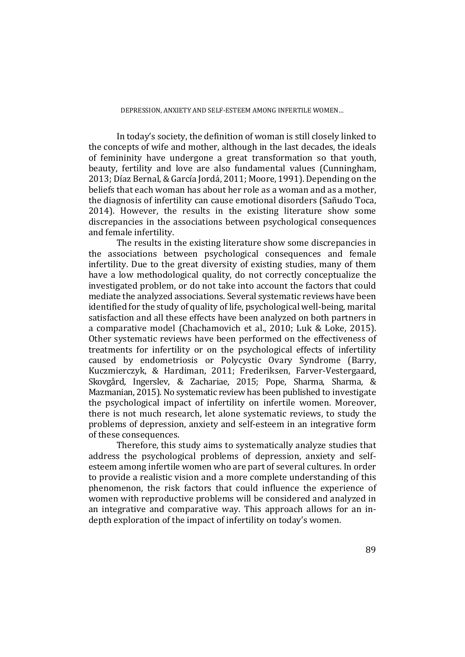#### DEPRESSION, ANXIETY AND SELF-ESTEEM AMONG INFERTILE WOMEN…

In today's society, the definition of woman is still closely linked to the concepts of wife and mother, although in the last decades, the ideals of femininity have undergone a great transformation so that youth, beauty, fertility and love are also fundamental values (Cunningham, 2013; Díaz Bernal, & García Jordá, 2011; Moore, 1991). Depending on the beliefs that each woman has about her role as a woman and as a mother, the diagnosis of infertility can cause emotional disorders (Sañudo Toca, 2014). However, the results in the existing literature show some discrepancies in the associations between psychological consequences and female infertility.

The results in the existing literature show some discrepancies in the associations between psychological consequences and female infertility. Due to the great diversity of existing studies, many of them have a low methodological quality, do not correctly conceptualize the investigated problem, or do not take into account the factors that could mediate the analyzed associations. Several systematic reviews have been identified for the study of quality of life, psychological well-being, marital satisfaction and all these effects have been analyzed on both partners in a comparative model (Chachamovich et al., 2010; Luk & Loke, 2015). Other systematic reviews have been performed on the effectiveness of treatments for infertility or on the psychological effects of infertility caused by endometriosis or Polycystic Ovary Syndrome (Barry, Kuczmierczyk, & Hardiman, 2011; Frederiksen, Farver-Vestergaard, Skovgård, Ingerslev, & Zachariae, 2015; Pope, Sharma, Sharma, & Mazmanian, 2015). No systematic review has been published to investigate the psychological impact of infertility on infertile women. Moreover, there is not much research, let alone systematic reviews, to study the problems of depression, anxiety and self-esteem in an integrative form of these consequences.

Therefore, this study aims to systematically analyze studies that address the psychological problems of depression, anxiety and selfesteem among infertile women who are part of several cultures. In order to provide a realistic vision and a more complete understanding of this phenomenon, the risk factors that could influence the experience of women with reproductive problems will be considered and analyzed in an integrative and comparative way. This approach allows for an indepth exploration of the impact of infertility on today's women.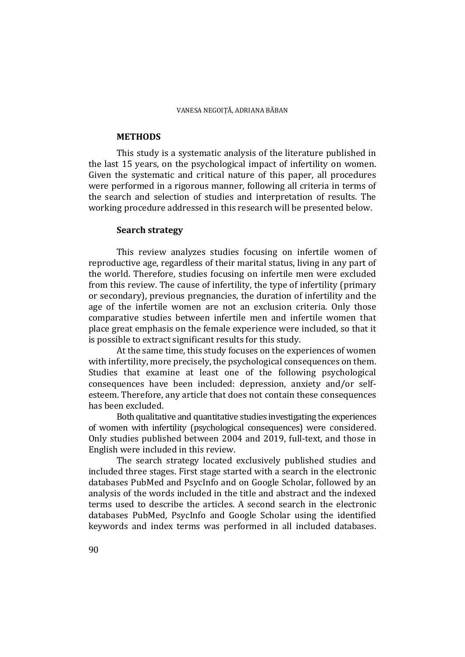#### **METHODS**

 This study is a systematic analysis of the literature published in the last 15 years, on the psychological impact of infertility on women. Given the systematic and critical nature of this paper, all procedures were performed in a rigorous manner, following all criteria in terms of the search and selection of studies and interpretation of results. The working procedure addressed in this research will be presented below.

# **Search strategy**

 This review analyzes studies focusing on infertile women of reproductive age, regardless of their marital status, living in any part of the world. Therefore, studies focusing on infertile men were excluded from this review. The cause of infertility, the type of infertility (primary or secondary), previous pregnancies, the duration of infertility and the age of the infertile women are not an exclusion criteria. Only those comparative studies between infertile men and infertile women that place great emphasis on the female experience were included, so that it is possible to extract significant results for this study.

 At the same time, this study focuses on the experiences of women with infertility, more precisely, the psychological consequences on them. Studies that examine at least one of the following psychological consequences have been included: depression, anxiety and/or selfesteem. Therefore, any article that does not contain these consequences has been excluded.

 Both qualitative and quantitative studies investigating the experiences of women with infertility (psychological consequences) were considered. Only studies published between 2004 and 2019, full-text, and those in English were included in this review.

 The search strategy located exclusively published studies and included three stages. First stage started with a search in the electronic databases PubMed and PsycInfo and on Google Scholar, followed by an analysis of the words included in the title and abstract and the indexed terms used to describe the articles. A second search in the electronic databases PubMed, PsycInfo and Google Scholar using the identified keywords and index terms was performed in all included databases.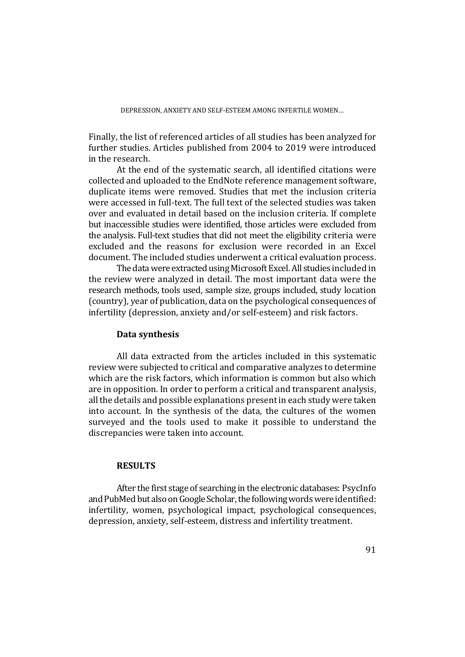Finally, the list of referenced articles of all studies has been analyzed for further studies. Articles published from 2004 to 2019 were introduced in the research.

 At the end of the systematic search, all identified citations were collected and uploaded to the EndNote reference management software, duplicate items were removed. Studies that met the inclusion criteria were accessed in full-text. The full text of the selected studies was taken over and evaluated in detail based on the inclusion criteria. If complete but inaccessible studies were identified, those articles were excluded from the analysis. Full-text studies that did not meet the eligibility criteria were excluded and the reasons for exclusion were recorded in an Excel document. The included studies underwent a critical evaluation process.

 The data were extracted using Microsoft Excel. All studies included in the review were analyzed in detail. The most important data were the research methods, tools used, sample size, groups included, study location (country), year of publication, data on the psychological consequences of infertility (depression, anxiety and/or self-esteem) and risk factors.

# **Data synthesis**

 All data extracted from the articles included in this systematic review were subjected to critical and comparative analyzes to determine which are the risk factors, which information is common but also which are in opposition. In order to perform a critical and transparent analysis, all the details and possible explanations present in each study were taken into account. In the synthesis of the data, the cultures of the women surveyed and the tools used to make it possible to understand the discrepancies were taken into account.

# **RESULTS**

 After the first stage of searching in the electronic databases: PsycInfo and PubMed but also on Google Scholar, the following words were identified: infertility, women, psychological impact, psychological consequences, depression, anxiety, self-esteem, distress and infertility treatment.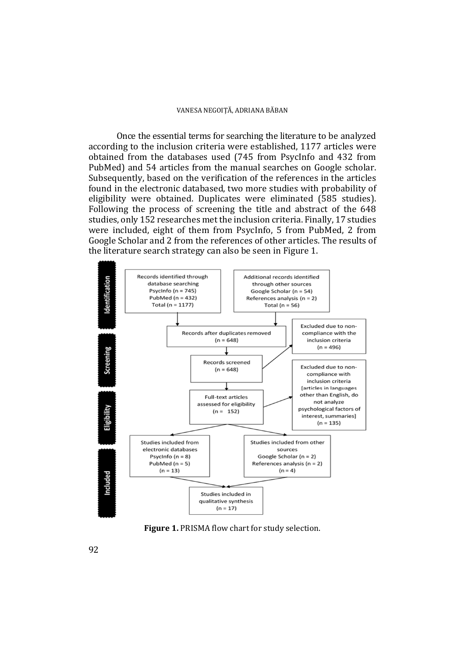Once the essential terms for searching the literature to be analyzed according to the inclusion criteria were established, 1177 articles were obtained from the databases used (745 from PsycInfo and 432 from PubMed) and 54 articles from the manual searches on Google scholar. Subsequently, based on the verification of the references in the articles found in the electronic databased, two more studies with probability of eligibility were obtained. Duplicates were eliminated (585 studies). Following the process of screening the title and abstract of the 648 studies, only 152 researches met the inclusion criteria. Finally, 17 studies were included, eight of them from PsycInfo, 5 from PubMed, 2 from Google Scholar and 2 from the references of other articles. The results of the literature search strategy can also be seen in Figure 1.



**Figure 1.** PRISMA flow chart for study selection.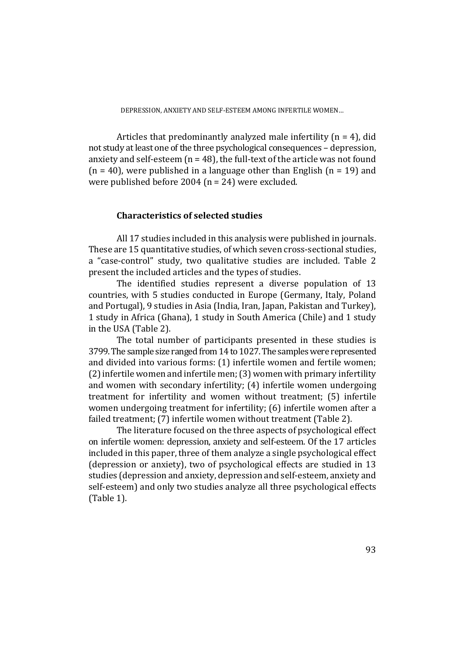Articles that predominantly analyzed male infertility  $(n = 4)$ , did not study at least one of the three psychological consequences – depression, anxiety and self-esteem  $(n = 48)$ , the full-text of the article was not found  $(n = 40)$ , were published in a language other than English  $(n = 19)$  and were published before 2004 (n = 24) were excluded.

# **Characteristics of selected studies**

 All 17 studies included in this analysis were published in journals. These are 15 quantitative studies, of which seven cross-sectional studies, a "case-control" study, two qualitative studies are included. Table 2 present the included articles and the types of studies.

 The identified studies represent a diverse population of 13 countries, with 5 studies conducted in Europe (Germany, Italy, Poland and Portugal), 9 studies in Asia (India, Iran, Japan, Pakistan and Turkey), 1 study in Africa (Ghana), 1 study in South America (Chile) and 1 study in the USA (Table 2).

The total number of participants presented in these studies is 3799. The sample size ranged from 14 to 1027. The samples were represented and divided into various forms: (1) infertile women and fertile women; (2) infertile women and infertile men; (3) women with primary infertility and women with secondary infertility; (4) infertile women undergoing treatment for infertility and women without treatment; (5) infertile women undergoing treatment for infertility; (6) infertile women after a failed treatment; (7) infertile women without treatment (Table 2).

The literature focused on the three aspects of psychological effect on infertile women: depression, anxiety and self-esteem. Of the 17 articles included in this paper, three of them analyze a single psychological effect (depression or anxiety), two of psychological effects are studied in 13 studies (depression and anxiety, depression and self-esteem, anxiety and self-esteem) and only two studies analyze all three psychological effects (Table 1).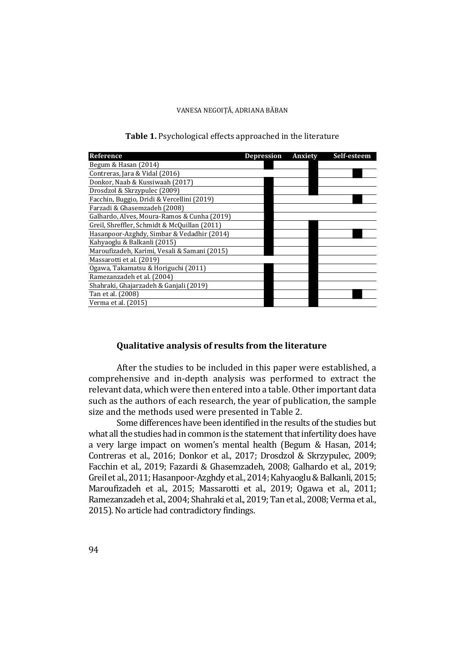| Reference                                    | Depression | Anxiety | Self-esteem |
|----------------------------------------------|------------|---------|-------------|
| Begum & Hasan (2014)                         |            |         |             |
| Contreras, Jara & Vidal (2016)               |            |         |             |
| Donkor, Naab & Kussiwaah (2017)              |            |         |             |
| Drosdzol & Skrzypulec (2009)                 |            |         |             |
| Facchin, Buggio, Dridi & Vercellini (2019)   |            |         |             |
| Farzadi & Ghasemzadeh (2008)                 |            |         |             |
| Galhardo, Alves, Moura-Ramos & Cunha (2019)  |            |         |             |
| Greil, Shreffler, Schmidt & McQuillan (2011) |            |         |             |
| Hasanpoor-Azghdy, Simbar & Vedadhir (2014)   |            |         |             |
| Kahyaoglu & Balkanli (2015)                  |            |         |             |
| Maroufizadeh, Karimi, Vesali & Samani (2015) |            |         |             |
| Massarotti et al. (2019)                     |            |         |             |
| Ogawa, Takamatsu & Horiguchi (2011)          |            |         |             |
| Ramezanzadeh et al. (2004)                   |            |         |             |
| Shahraki, Ghajarzadeh & Ganjali (2019)       |            |         |             |
| Tan et al. (2008)                            |            |         |             |
| Verma et al. (2015)                          |            |         |             |

# **Table 1.** Psychological effects approached in the literature

# **Qualitative analysis of results from the literature**

After the studies to be included in this paper were established, a comprehensive and in-depth analysis was performed to extract the relevant data, which were then entered into a table. Other important data such as the authors of each research, the year of publication, the sample size and the methods used were presented in Table 2.

Some differences have been identified in the results of the studies but what all the studies had in common is the statement that infertility does have a very large impact on women's mental health (Begum & Hasan, 2014; Contreras et al., 2016; Donkor et al., 2017; Drosdzol & Skrzypulec, 2009; Facchin et al., 2019; Fazardi & Ghasemzadeh, 2008; Galhardo et al., 2019; Greil et al., 2011; Hasanpoor-Azghdy et al., 2014; Kahyaoglu & Balkanli, 2015; Maroufizadeh et al., 2015; Massarotti et al., 2019; Ogawa et al., 2011; Ramezanzadeh et al., 2004; Shahraki et al., 2019; Tan et al., 2008; Verma et al., 2015). No article had contradictory findings.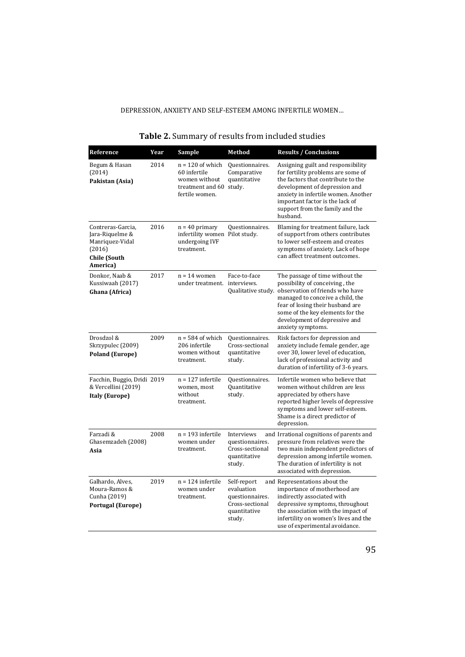| Reference                                                                                            | Year | Sample                                                                                           | <b>Method</b>                                                                             | <b>Results / Conclusions</b>                                                                                                                                                                                                                                                              |
|------------------------------------------------------------------------------------------------------|------|--------------------------------------------------------------------------------------------------|-------------------------------------------------------------------------------------------|-------------------------------------------------------------------------------------------------------------------------------------------------------------------------------------------------------------------------------------------------------------------------------------------|
| Begum & Hasan<br>(2014)<br>Pakistan (Asia)                                                           | 2014 | $n = 120$ of which<br>60 infertile<br>women without<br>treatment and 60 study.<br>fertile women. | Questionnaires.<br>Comparative<br>quantitative                                            | Assigning guilt and responsibility<br>for fertility problems are some of<br>the factors that contribute to the<br>development of depression and<br>anxiety in infertile women. Another<br>important factor is the lack of<br>support from the family and the<br>husband.                  |
| Contreras-Garcia,<br>Jara-Riquelme &<br>Manriquez-Vidal<br>(2016)<br><b>Chile (South</b><br>America) | 2016 | $n = 40$ primary<br>infertility women Pilot study.<br>undergoing IVF<br>treatment.               | Questionnaires.                                                                           | Blaming for treatment failure, lack<br>of support from others contributes<br>to lower self-esteem and creates<br>symptoms of anxiety. Lack of hope<br>can affect treatment outcomes.                                                                                                      |
| Donkor, Naab &<br>Kussiwaah (2017)<br>Ghana (Africa)                                                 | 2017 | $n = 14$ women<br>under treatment. interviews.                                                   | Face-to-face                                                                              | The passage of time without the<br>possibility of conceiving, the<br>Qualitative study. observation of friends who have<br>managed to conceive a child, the<br>fear of losing their husband are<br>some of the key elements for the<br>development of depressive and<br>anxiety symptoms. |
| Drosdzol &<br>Skrzypulec (2009)<br><b>Poland (Europe)</b>                                            | 2009 | $n = 584$ of which<br>206 infertile<br>women without<br>treatment.                               | Questionnaires.<br>Cross-sectional<br>quantitative<br>study.                              | Risk factors for depression and<br>anxiety include female gender, age<br>over 30, lower level of education,<br>lack of professional activity and<br>duration of infertility of 3-6 years.                                                                                                 |
| Facchin, Buggio, Dridi 2019<br>& Vercellini (2019)<br><b>Italy (Europe)</b>                          |      | $n = 127$ infertile<br>women, most<br>without<br>treatment.                                      | Questionnaires.<br>Quantitative<br>study.                                                 | Infertile women who believe that<br>women without children are less<br>appreciated by others have<br>reported higher levels of depressive<br>symptoms and lower self-esteem.<br>Shame is a direct predictor of<br>depression.                                                             |
| Farzadi &<br>Ghasemzadeh (2008)<br>Asia                                                              | 2008 | $n = 193$ infertile<br>women under<br>treatment.                                                 | Interviews<br>questionnaires.<br>Cross-sectional<br>quantitative<br>study.                | and Irrational cognitions of parents and<br>pressure from relatives were the<br>two main independent predictors of<br>depression among infertile women.<br>The duration of infertility is not<br>associated with depression.                                                              |
| Galhardo, Alves,<br>Moura-Ramos &<br>Cunha (2019)<br><b>Portugal (Europe)</b>                        | 2019 | $n = 124$ infertile<br>women under<br>treatment.                                                 | Self-report<br>evaluation<br>questionnaires.<br>Cross-sectional<br>quantitative<br>study. | and Representations about the<br>importance of motherhood are<br>indirectly associated with<br>depressive symptoms, throughout<br>the association with the impact of<br>infertility on women's lives and the<br>use of experimental avoidance.                                            |

# **Table 2.** Summary of results from included studies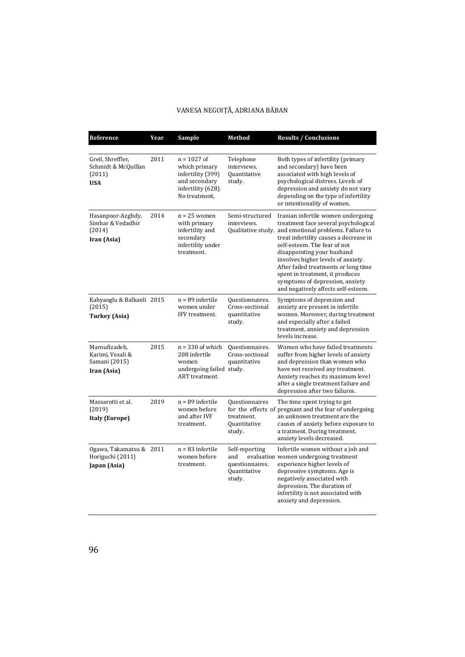# VANESA NEGOIȚĂ, ADRIANA BĂBAN

| Reference                                                         | Year | Sample                                                                                                      | Method                                                             | <b>Results / Conclusions</b>                                                                                                                                                                                                                                                                                                                                                                                                           |
|-------------------------------------------------------------------|------|-------------------------------------------------------------------------------------------------------------|--------------------------------------------------------------------|----------------------------------------------------------------------------------------------------------------------------------------------------------------------------------------------------------------------------------------------------------------------------------------------------------------------------------------------------------------------------------------------------------------------------------------|
| Greil, Shreffler,<br>Schmidt & McQuillan<br>(2011)<br><b>USA</b>  | 2011 | $n = 1027$ of<br>which primary<br>infertility (399)<br>and secondary<br>infertility (628).<br>No treatment, | Telephone<br>interviews.<br><b>Ouantitative</b><br>study.          | Both types of infertility (primary<br>and secondary) have been<br>associated with high levels of<br>psychological distress. Levels of<br>depression and anxiety do not vary<br>depending on the type of infertility<br>or intentionality of women.                                                                                                                                                                                     |
| Hasanpoor-Azghdy,<br>Simbar & Vedadhir<br>(2014)<br>Iran (Asia)   | 2014 | $n = 25$ women<br>with primary<br>infertility and<br>secondary<br>infertility under<br>treatment.           | Semi-structured<br>interviews.                                     | Iranian infertile women undergoing<br>treatment face several psychological<br>Qualitative study. and emotional problems. Failure to<br>treat infertility causes a decrease in<br>self-esteem. The fear of not<br>disappointing your husband<br>involves higher levels of anxiety.<br>After failed treatments or long time<br>spent in treatment, it produces<br>symptoms of depression, anxiety<br>and negatively affects self-esteem. |
| Kahyaoglu & Balkanli 2015<br>(2015)<br><b>Turkey (Asia)</b>       |      | $n = 89$ infertile<br>women under<br>IFV treatment.                                                         | Questionnaires.<br>Cross-sectional<br>quantitative<br>study.       | Symptoms of depression and<br>anxiety are present in infertile<br>women. Moreover, during treatment<br>and especially after a failed<br>treatment, anxiety and depression<br>levels increase.                                                                                                                                                                                                                                          |
| Maroufizadeh,<br>Karimi. Vesali &<br>Samani (2015)<br>Iran (Asia) | 2015 | $n = 330$ of which<br>208 infertile<br>women<br>undergoing failed study.<br><b>ART</b> treatment.           | Questionnaires.<br>Cross-sectional<br>quantitative                 | Women who have failed treatments<br>suffer from higher levels of anxiety<br>and depression than women who<br>have not received any treatment.<br>Anxiety reaches its maximum level<br>after a single treatment failure and<br>depression after two failures.                                                                                                                                                                           |
| Massarotti et al.<br>(2019)<br><b>Italy (Europe)</b>              | 2019 | $n = 89$ infertile<br>women before<br>and after IVF<br>treatment.                                           | <b>Ouestionnaires</b><br>treatment.<br>Quantitative<br>study.      | The time spent trying to get<br>for the effects of pregnant and the fear of undergoing<br>an unknown treatment are the<br>causes of anxiety before exposure to<br>a tratment. During treatment,<br>anxiety levels decreased.                                                                                                                                                                                                           |
| Ogawa, Takamatsu & 2011<br>Horiguchi (2011)<br>Japan (Asia)       |      | $n = 83$ infertile<br>women before<br>treatment.                                                            | Self-reporting<br>and<br>questionnaires.<br>Quantitative<br>study. | Infertile women without a job and<br>evaluation women undergoing treatment<br>experience higher levels of<br>depressive symptoms. Age is<br>negatively associated with<br>depression. The duration of<br>infertility is not associated with<br>anxiety and depression.                                                                                                                                                                 |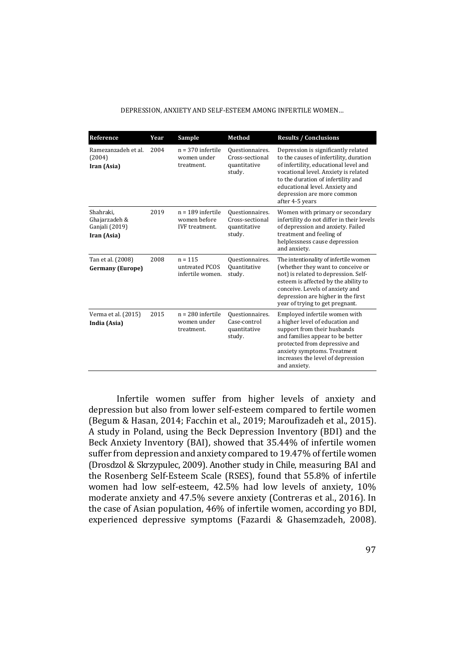#### DEPRESSION, ANXIETY AND SELF-ESTEEM AMONG INFERTILE WOMEN…

| Reference                                                   | Year | Sample                                                       | <b>Method</b>                                                | <b>Results / Conclusions</b>                                                                                                                                                                                                                                                            |
|-------------------------------------------------------------|------|--------------------------------------------------------------|--------------------------------------------------------------|-----------------------------------------------------------------------------------------------------------------------------------------------------------------------------------------------------------------------------------------------------------------------------------------|
| Ramezanzadeh et al.<br>(2004)<br>Iran (Asia)                | 2004 | $n = 370$ infertile<br>women under<br>treatment.             | Questionnaires.<br>Cross-sectional<br>quantitative<br>study. | Depression is significantly related<br>to the causes of infertility, duration<br>of infertility, educational level and<br>vocational level. Anxiety is related<br>to the duration of infertility and<br>educational level. Anxiety and<br>depression are more common<br>after 4-5 years |
| Shahraki.<br>Ghajarzadeh &<br>Ganjali (2019)<br>Iran (Asia) | 2019 | $n = 189$ infertile<br>women before<br><b>IVF</b> treatment. | Questionnaires.<br>Cross-sectional<br>quantitative<br>study. | Women with primary or secondary<br>infertility do not differ in their levels<br>of depression and anxiety. Failed<br>treatment and feeling of<br>helplessness cause depression<br>and anxiety.                                                                                          |
| Tan et al. (2008)<br><b>Germany (Europe)</b>                | 2008 | $n = 115$<br>untreated PCOS<br>infertile women.              | Questionnaires.<br><b>Quantitative</b><br>study.             | The intentionality of infertile women<br>(whether they want to conceive or<br>not) is related to depression. Self-<br>esteem is affected by the ability to<br>conceive. Levels of anxiety and<br>depression are higher in the first<br>year of trying to get pregnant.                  |
| Verma et al. (2015)<br>India (Asia)                         | 2015 | $n = 280$ infertile<br>women under<br>treatment.             | Questionnaires.<br>Case-control<br>quantitative<br>study.    | Employed infertile women with<br>a higher level of education and<br>support from their husbands<br>and families appear to be better<br>protected from depressive and<br>anxiety symptoms. Treatment<br>increases the level of depression<br>and anxiety.                                |

Infertile women suffer from higher levels of anxiety and depression but also from lower self-esteem compared to fertile women (Begum & Hasan, 2014; Facchin et al., 2019; Maroufizadeh et al., 2015). A study in Poland, using the Beck Depression Inventory (BDI) and the Beck Anxiety Inventory (BAI), showed that 35.44% of infertile women suffer from depression and anxiety compared to 19.47% of fertile women (Drosdzol & Skrzypulec, 2009). Another study in Chile, measuring BAI and the Rosenberg Self-Esteem Scale (RSES), found that 55.8% of infertile women had low self-esteem, 42.5% had low levels of anxiety, 10% moderate anxiety and 47.5% severe anxiety (Contreras et al., 2016). In the case of Asian population, 46% of infertile women, according yo BDI, experienced depressive symptoms (Fazardi & Ghasemzadeh, 2008).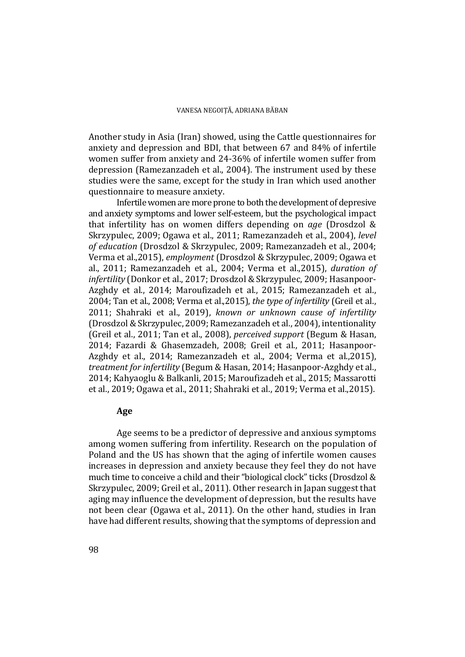Another study in Asia (Iran) showed, using the Cattle questionnaires for anxiety and depression and BDI, that between 67 and 84% of infertile women suffer from anxiety and 24-36% of infertile women suffer from depression (Ramezanzadeh et al., 2004). The instrument used by these studies were the same, except for the study in Iran which used another questionnaire to measure anxiety.

Infertile women are more prone to both the development of depresive and anxiety symptoms and lower self-esteem, but the psychological impact that infertility has on women differs depending on *age* (Drosdzol & Skrzypulec, 2009; Ogawa et al., 2011; Ramezanzadeh et al., 2004), *level of education* (Drosdzol & Skrzypulec, 2009; Ramezanzadeh et al., 2004; Verma et al.,2015), *employment* (Drosdzol & Skrzypulec, 2009; Ogawa et al., 2011; Ramezanzadeh et al., 2004; Verma et al.,2015), *duration of infertility* (Donkor et al., 2017; Drosdzol & Skrzypulec, 2009; Hasanpoor-Azghdy et al., 2014; Maroufizadeh et al., 2015; Ramezanzadeh et al., 2004; Tan et al., 2008; Verma et al.,2015), *the type of infertility* (Greil et al., 2011; Shahraki et al., 2019), *known or unknown cause of infertility* (Drosdzol & Skrzypulec, 2009; Ramezanzadeh et al., 2004), intentionality (Greil et al., 2011; Tan et al., 2008), *perceived support* (Begum & Hasan, 2014; Fazardi & Ghasemzadeh, 2008; Greil et al., 2011; Hasanpoor-Azghdy et al., 2014; Ramezanzadeh et al., 2004; Verma et al.,2015), *treatment for infertility* (Begum & Hasan, 2014; Hasanpoor-Azghdy et al., 2014; Kahyaoglu & Balkanli, 2015; Maroufizadeh et al., 2015; Massarotti et al., 2019; Ogawa et al., 2011; Shahraki et al., 2019; Verma et al.,2015).

# **Age**

 Age seems to be a predictor of depressive and anxious symptoms among women suffering from infertility. Research on the population of Poland and the US has shown that the aging of infertile women causes increases in depression and anxiety because they feel they do not have much time to conceive a child and their "biological clock" ticks (Drosdzol & Skrzypulec, 2009; Greil et al., 2011). Other research in Japan suggest that aging may influence the development of depression, but the results have not been clear (Ogawa et al., 2011). On the other hand, studies in Iran have had different results, showing that the symptoms of depression and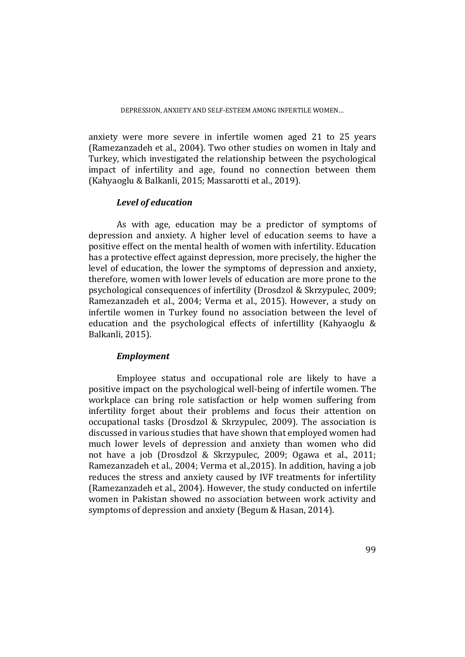anxiety were more severe in infertile women aged 21 to 25 years (Ramezanzadeh et al., 2004). Two other studies on women in Italy and Turkey, which investigated the relationship between the psychological impact of infertility and age, found no connection between them (Kahyaoglu & Balkanli, 2015; Massarotti et al., 2019).

# *Level of education*

As with age, education may be a predictor of symptoms of depression and anxiety. A higher level of education seems to have a positive effect on the mental health of women with infertility. Education has a protective effect against depression, more precisely, the higher the level of education, the lower the symptoms of depression and anxiety, therefore, women with lower levels of education are more prone to the psychological consequences of infertility (Drosdzol & Skrzypulec, 2009; Ramezanzadeh et al., 2004; Verma et al., 2015). However, a study on infertile women in Turkey found no association between the level of education and the psychological effects of infertillity (Kahyaoglu & Balkanli, 2015).

# *Employment*

Employee status and occupational role are likely to have a positive impact on the psychological well-being of infertile women. The workplace can bring role satisfaction or help women suffering from infertility forget about their problems and focus their attention on occupational tasks (Drosdzol & Skrzypulec, 2009). The association is discussed in various studies that have shown that employed women had much lower levels of depression and anxiety than women who did not have a job (Drosdzol & Skrzypulec, 2009; Ogawa et al., 2011; Ramezanzadeh et al., 2004; Verma et al.,2015). In addition, having a job reduces the stress and anxiety caused by IVF treatments for infertility (Ramezanzadeh et al., 2004). However, the study conducted on infertile women in Pakistan showed no association between work activity and symptoms of depression and anxiety (Begum & Hasan, 2014).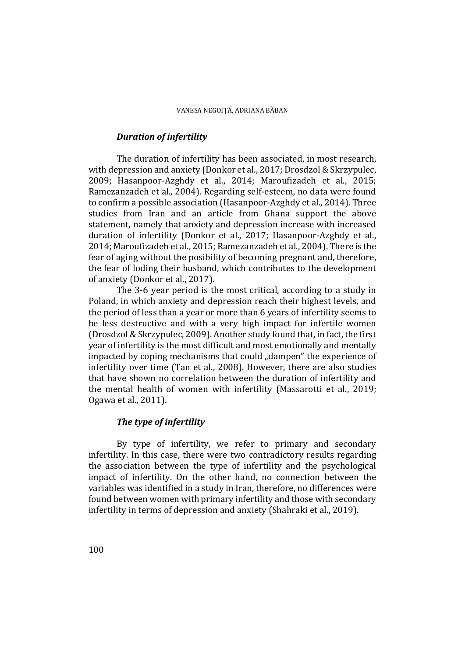# *Duration of infertility*

The duration of infertility has been associated, in most research, with depression and anxiety (Donkor et al., 2017; Drosdzol & Skrzypulec, 2009; Hasanpoor-Azghdy et al., 2014; Maroufizadeh et al., 2015; Ramezanzadeh et al., 2004). Regarding self-esteem, no data were found to confirm a possible association (Hasanpoor-Azghdy et al., 2014). Three studies from Iran and an article from Ghana support the above statement, namely that anxiety and depression increase with increased duration of infertility (Donkor et al., 2017; Hasanpoor-Azghdy et al., 2014; Maroufizadeh et al., 2015; Ramezanzadeh et al., 2004). There is the fear of aging without the posibility of becoming pregnant and, therefore, the fear of loding their husband, which contributes to the development of anxiety (Donkor et al., 2017).

 The 3-6 year period is the most critical, according to a study in Poland, in which anxiety and depression reach their highest levels, and the period of less than a year or more than 6 years of infertility seems to be less destructive and with a very high impact for infertile women (Drosdzol & Skrzypulec, 2009). Another study found that, in fact, the first year of infertility is the most difficult and most emotionally and mentally impacted by coping mechanisms that could "dampen" the experience of infertility over time (Tan et al., 2008). However, there are also studies that have shown no correlation between the duration of infertility and the mental health of women with infertility (Massarotti et al., 2019; Ogawa et al., 2011).

# *The type of infertility*

 By type of infertility, we refer to primary and secondary infertility. In this case, there were two contradictory results regarding the association between the type of infertility and the psychological impact of infertility. On the other hand, no connection between the variables was identified in a study in Iran, therefore, no differences were found between women with primary infertility and those with secondary infertility in terms of depression and anxiety (Shahraki et al., 2019).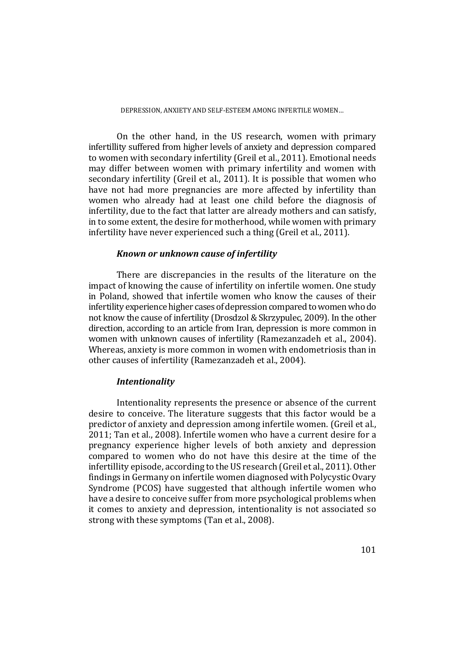#### DEPRESSION, ANXIETY AND SELF-ESTEEM AMONG INFERTILE WOMEN…

 On the other hand, in the US research, women with primary infertillity suffered from higher levels of anxiety and depression compared to women with secondary infertility (Greil et al., 2011). Emotional needs may differ between women with primary infertility and women with secondary infertility (Greil et al., 2011). It is possible that women who have not had more pregnancies are more affected by infertility than women who already had at least one child before the diagnosis of infertility, due to the fact that latter are already mothers and can satisfy, in to some extent, the desire for motherhood, while women with primary infertility have never experienced such a thing (Greil et al., 2011).

#### *Known or unknown cause of infertility*

There are discrepancies in the results of the literature on the impact of knowing the cause of infertility on infertile women. One study in Poland, showed that infertile women who know the causes of their infertility experience higher cases of depression compared to women who do not know the cause of infertility (Drosdzol & Skrzypulec, 2009). In the other direction, according to an article from Iran, depression is more common in women with unknown causes of infertility (Ramezanzadeh et al., 2004). Whereas, anxiety is more common in women with endometriosis than in other causes of infertility (Ramezanzadeh et al., 2004).

# *Intentionality*

Intentionality represents the presence or absence of the current desire to conceive. The literature suggests that this factor would be a predictor of anxiety and depression among infertile women. (Greil et al., 2011; Tan et al., 2008). Infertile women who have a current desire for a pregnancy experience higher levels of both anxiety and depression compared to women who do not have this desire at the time of the infertillity episode, according to the US research (Greil et al., 2011). Other findings in Germany on infertile women diagnosed with Polycystic Ovary Syndrome (PCOS) have suggested that although infertile women who have a desire to conceive suffer from more psychological problems when it comes to anxiety and depression, intentionality is not associated so strong with these symptoms (Tan et al., 2008).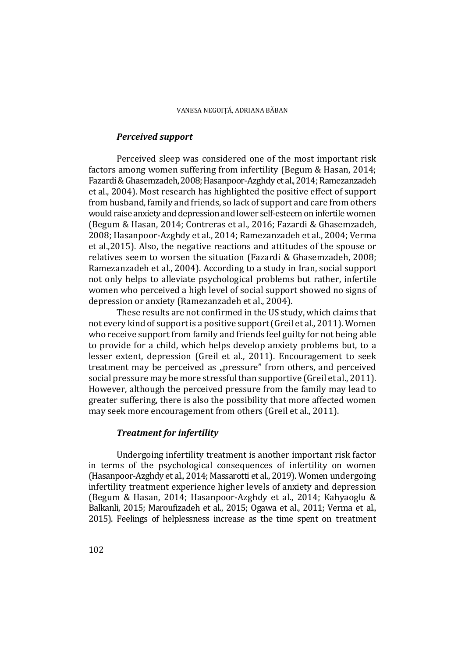# *Perceived support*

Perceived sleep was considered one of the most important risk factors among women suffering from infertility (Begum & Hasan, 2014; Fazardi & Ghasemzadeh, 2008; Hasanpoor-Azghdy et al., 2014; Ramezanzadeh et al., 2004). Most research has highlighted the positive effect of support from husband, family and friends, so lack of support and care from others would raise anxiety and depression and lower self-esteem on infertile women (Begum & Hasan, 2014; Contreras et al., 2016; Fazardi & Ghasemzadeh, 2008; Hasanpoor-Azghdy et al., 2014; Ramezanzadeh et al., 2004; Verma et al.,2015). Also, the negative reactions and attitudes of the spouse or relatives seem to worsen the situation (Fazardi & Ghasemzadeh, 2008; Ramezanzadeh et al., 2004). According to a study in Iran, social support not only helps to alleviate psychological problems but rather, infertile women who perceived a high level of social support showed no signs of depression or anxiety (Ramezanzadeh et al., 2004).

These results are not confirmed in the US study, which claims that not every kind of support is a positive support (Greil et al., 2011). Women who receive support from family and friends feel guilty for not being able to provide for a child, which helps develop anxiety problems but, to a lesser extent, depression (Greil et al., 2011). Encouragement to seek treatment may be perceived as "pressure" from others, and perceived social pressure may be more stressful than supportive (Greil et al., 2011). However, although the perceived pressure from the family may lead to greater suffering, there is also the possibility that more affected women may seek more encouragement from others (Greil et al., 2011).

# *Treatment for infertility*

Undergoing infertility treatment is another important risk factor in terms of the psychological consequences of infertility on women (Hasanpoor-Azghdy et al., 2014; Massarotti et al., 2019). Women undergoing infertility treatment experience higher levels of anxiety and depression (Begum & Hasan, 2014; Hasanpoor-Azghdy et al., 2014; Kahyaoglu & Balkanli, 2015; Maroufizadeh et al., 2015; Ogawa et al., 2011; Verma et al., 2015). Feelings of helplessness increase as the time spent on treatment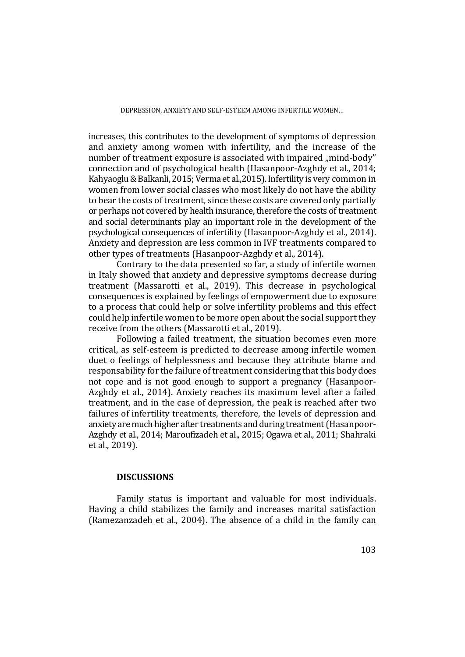increases, this contributes to the development of symptoms of depression and anxiety among women with infertility, and the increase of the number of treatment exposure is associated with impaired "mind-body" connection and of psychological health (Hasanpoor-Azghdy et al., 2014; Kahyaoglu & Balkanli, 2015; Verma et al.,2015). Infertility is very common in women from lower social classes who most likely do not have the ability to bear the costs of treatment, since these costs are covered only partially or perhaps not covered by health insurance, therefore the costs of treatment and social determinants play an important role in the development of the psychological consequences of infertility (Hasanpoor-Azghdy et al., 2014). Anxiety and depression are less common in IVF treatments compared to other types of treatments (Hasanpoor-Azghdy et al., 2014).

 Contrary to the data presented so far, a study of infertile women in Italy showed that anxiety and depressive symptoms decrease during treatment (Massarotti et al., 2019). This decrease in psychological consequences is explained by feelings of empowerment due to exposure to a process that could help or solve infertility problems and this effect could help infertile women to be more open about the social support they receive from the others (Massarotti et al., 2019).

 Following a failed treatment, the situation becomes even more critical, as self-esteem is predicted to decrease among infertile women duet o feelings of helplessness and because they attribute blame and responsability for the failure of treatment considering that this body does not cope and is not good enough to support a pregnancy (Hasanpoor-Azghdy et al., 2014). Anxiety reaches its maximum level after a failed treatment, and in the case of depression, the peak is reached after two failures of infertility treatments, therefore, the levels of depression and anxiety are much higher after treatments and during treatment (Hasanpoor-Azghdy et al., 2014; Maroufizadeh et al., 2015; Ogawa et al., 2011; Shahraki et al., 2019).

# **DISCUSSIONS**

Family status is important and valuable for most individuals. Having a child stabilizes the family and increases marital satisfaction (Ramezanzadeh et al., 2004). The absence of a child in the family can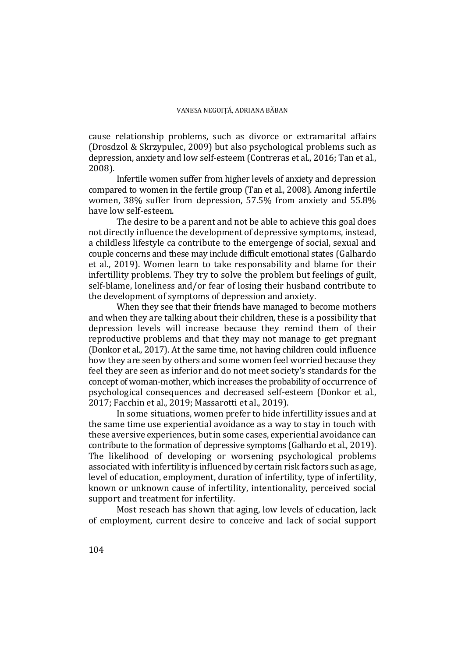cause relationship problems, such as divorce or extramarital affairs (Drosdzol & Skrzypulec, 2009) but also psychological problems such as depression, anxiety and low self-esteem (Contreras et al., 2016; Tan et al., 2008).

Infertile women suffer from higher levels of anxiety and depression compared to women in the fertile group (Tan et al., 2008). Among infertile women, 38% suffer from depression, 57.5% from anxiety and 55.8% have low self-esteem.

The desire to be a parent and not be able to achieve this goal does not directly influence the development of depressive symptoms, instead, a childless lifestyle ca contribute to the emergenge of social, sexual and couple concerns and these may include difficult emotional states (Galhardo et al., 2019). Women learn to take responsability and blame for their infertillity problems. They try to solve the problem but feelings of guilt, self-blame, loneliness and/or fear of losing their husband contribute to the development of symptoms of depression and anxiety.

When they see that their friends have managed to become mothers and when they are talking about their children, these is a possibility that depression levels will increase because they remind them of their reproductive problems and that they may not manage to get pregnant (Donkor et al., 2017). At the same time, not having children could influence how they are seen by others and some women feel worried because they feel they are seen as inferior and do not meet society's standards for the concept of woman-mother, which increases the probability of occurrence of psychological consequences and decreased self-esteem (Donkor et al., 2017; Facchin et al., 2019; Massarotti et al., 2019).

In some situations, women prefer to hide infertillity issues and at the same time use experiential avoidance as a way to stay in touch with these aversive experiences, but in some cases, experiential avoidance can contribute to the formation of depressive symptoms (Galhardo et al., 2019). The likelihood of developing or worsening psychological problems associated with infertility is influenced by certain risk factors such as age, level of education, employment, duration of infertility, type of infertility, known or unknown cause of infertility, intentionality, perceived social support and treatment for infertility.

Most reseach has shown that aging, low levels of education, lack of employment, current desire to conceive and lack of social support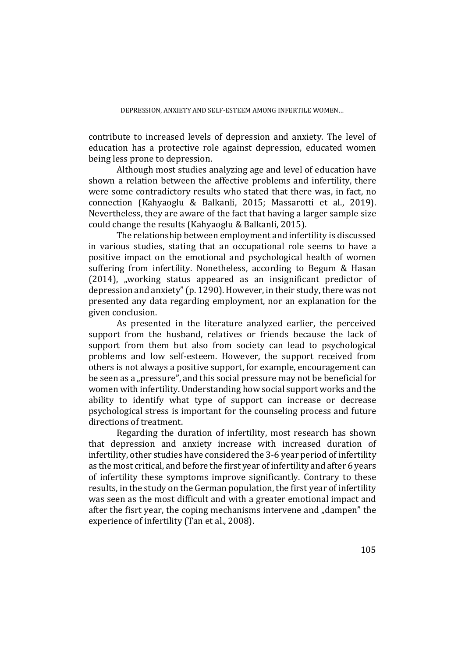contribute to increased levels of depression and anxiety. The level of education has a protective role against depression, educated women being less prone to depression.

Although most studies analyzing age and level of education have shown a relation between the affective problems and infertility, there were some contradictory results who stated that there was, in fact, no connection (Kahyaoglu & Balkanli, 2015; Massarotti et al., 2019). Nevertheless, they are aware of the fact that having a larger sample size could change the results (Kahyaoglu & Balkanli, 2015).

The relationship between employment and infertility is discussed in various studies, stating that an occupational role seems to have a positive impact on the emotional and psychological health of women suffering from infertility. Nonetheless, according to Begum & Hasan (2014), "working status appeared as an insignificant predictor of depression and anxiety" (p. 1290). However, in their study, there was not presented any data regarding employment, nor an explanation for the given conclusion.

As presented in the literature analyzed earlier, the perceived support from the husband, relatives or friends because the lack of support from them but also from society can lead to psychological problems and low self-esteem. However, the support received from others is not always a positive support, for example, encouragement can be seen as a "pressure", and this social pressure may not be beneficial for women with infertility. Understanding how social support works and the ability to identify what type of support can increase or decrease psychological stress is important for the counseling process and future directions of treatment.

Regarding the duration of infertility, most research has shown that depression and anxiety increase with increased duration of infertility, other studies have considered the 3-6 year period of infertility as the most critical, and before the first year of infertility and after 6 years of infertility these symptoms improve significantly. Contrary to these results, in the study on the German population, the first year of infertility was seen as the most difficult and with a greater emotional impact and after the fisrt year, the coping mechanisms intervene and "dampen" the experience of infertility (Tan et al., 2008).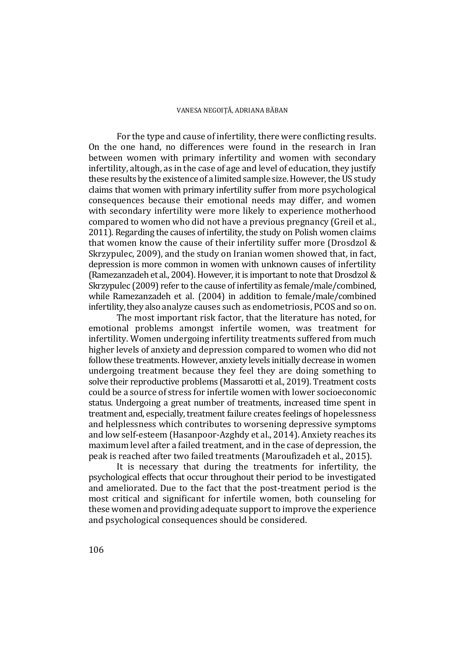For the type and cause of infertility, there were conflicting results. On the one hand, no differences were found in the research in Iran between women with primary infertility and women with secondary infertility, altough, as in the case of age and level of education, they justify these results by the existence of a limited sample size. However, the US study claims that women with primary infertility suffer from more psychological consequences because their emotional needs may differ, and women with secondary infertility were more likely to experience motherhood compared to women who did not have a previous pregnancy (Greil et al., 2011). Regarding the causes of infertility, the study on Polish women claims that women know the cause of their infertility suffer more (Drosdzol & Skrzypulec, 2009), and the study on Iranian women showed that, in fact, depression is more common in women with unknown causes of infertility (Ramezanzadeh et al., 2004). However, it is important to note that Drosdzol & Skrzypulec (2009) refer to the cause of infertility as female/male/combined, while Ramezanzadeh et al. (2004) in addition to female/male/combined infertility, they also analyze causes such as endometriosis, PCOS and so on.

The most important risk factor, that the literature has noted, for emotional problems amongst infertile women, was treatment for infertility. Women undergoing infertility treatments suffered from much higher levels of anxiety and depression compared to women who did not follow these treatments. However, anxiety levels initially decrease in women undergoing treatment because they feel they are doing something to solve their reproductive problems (Massarotti et al., 2019). Treatment costs could be a source of stress for infertile women with lower socioeconomic status. Undergoing a great number of treatments, increased time spent in treatment and, especially, treatment failure creates feelings of hopelessness and helplessness which contributes to worsening depressive symptoms and low self-esteem (Hasanpoor-Azghdy et al., 2014). Anxiety reaches its maximum level after a failed treatment, and in the case of depression, the peak is reached after two failed treatments (Maroufizadeh et al., 2015).

It is necessary that during the treatments for infertility, the psychological effects that occur throughout their period to be investigated and ameliorated. Due to the fact that the post-treatment period is the most critical and significant for infertile women, both counseling for these women and providing adequate support to improve the experience and psychological consequences should be considered.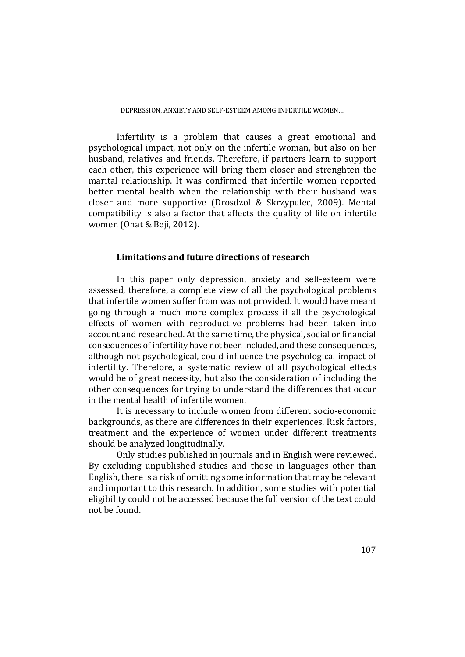#### DEPRESSION, ANXIETY AND SELF-ESTEEM AMONG INFERTILE WOMEN…

Infertility is a problem that causes a great emotional and psychological impact, not only on the infertile woman, but also on her husband, relatives and friends. Therefore, if partners learn to support each other, this experience will bring them closer and strenghten the marital relationship. It was confirmed that infertile women reported better mental health when the relationship with their husband was closer and more supportive (Drosdzol & Skrzypulec, 2009). Mental compatibility is also a factor that affects the quality of life on infertile women (Onat & Beji, 2012).

# **Limitations and future directions of research**

 In this paper only depression, anxiety and self-esteem were assessed, therefore, a complete view of all the psychological problems that infertile women suffer from was not provided. It would have meant going through a much more complex process if all the psychological effects of women with reproductive problems had been taken into account and researched. At the same time, the physical, social or financial consequences of infertility have not been included, and these consequences, although not psychological, could influence the psychological impact of infertility. Therefore, a systematic review of all psychological effects would be of great necessity, but also the consideration of including the other consequences for trying to understand the differences that occur in the mental health of infertile women.

 It is necessary to include women from different socio-economic backgrounds, as there are differences in their experiences. Risk factors, treatment and the experience of women under different treatments should be analyzed longitudinally.

Only studies published in journals and in English were reviewed. By excluding unpublished studies and those in languages other than English, there is a risk of omitting some information that may be relevant and important to this research. In addition, some studies with potential eligibility could not be accessed because the full version of the text could not be found.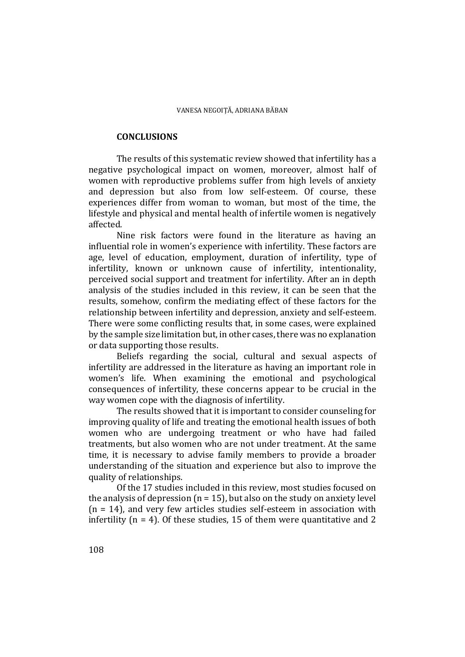# **CONCLUSIONS**

The results of this systematic review showed that infertility has a negative psychological impact on women, moreover, almost half of women with reproductive problems suffer from high levels of anxiety and depression but also from low self-esteem. Of course, these experiences differ from woman to woman, but most of the time, the lifestyle and physical and mental health of infertile women is negatively affected.

Nine risk factors were found in the literature as having an influential role in women's experience with infertility. These factors are age, level of education, employment, duration of infertility, type of infertility, known or unknown cause of infertility, intentionality, perceived social support and treatment for infertility. After an in depth analysis of the studies included in this review, it can be seen that the results, somehow, confirm the mediating effect of these factors for the relationship between infertility and depression, anxiety and self-esteem. There were some conflicting results that, in some cases, were explained by the sample size limitation but, in other cases, there was no explanation or data supporting those results.

Beliefs regarding the social, cultural and sexual aspects of infertility are addressed in the literature as having an important role in women's life. When examining the emotional and psychological consequences of infertility, these concerns appear to be crucial in the way women cope with the diagnosis of infertility.

The results showed that it is important to consider counseling for improving quality of life and treating the emotional health issues of both women who are undergoing treatment or who have had failed treatments, but also women who are not under treatment. At the same time, it is necessary to advise family members to provide a broader understanding of the situation and experience but also to improve the quality of relationships.

Of the 17 studies included in this review, most studies focused on the analysis of depression  $(n = 15)$ , but also on the study on anxiety level  $(n = 14)$ , and very few articles studies self-esteem in association with infertility ( $n = 4$ ). Of these studies, 15 of them were quantitative and 2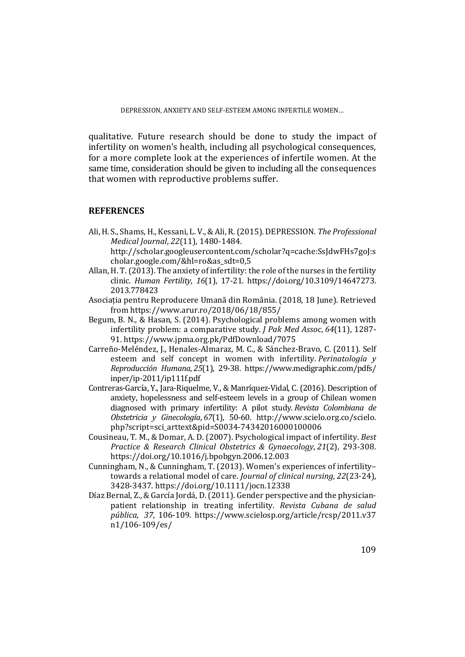qualitative. Future research should be done to study the impact of infertility on women's health, including all psychological consequences, for a more complete look at the experiences of infertile women. At the same time, consideration should be given to including all the consequences that women with reproductive problems suffer.

# **REFERENCES**

Ali, H. S., Shams, H., Kessani, L. V., & Ali, R. (2015). DEPRESSION. *The Professional Medical Journal*, *22*(11), 1480-1484.

http://scholar.googleusercontent.com/scholar?q=cache:SsJdwFHs7goJ:s cholar.google.com/&hl=ro&as\_sdt=0,5

- Allan, H. T. (2013). The anxiety of infertility: the role of the nurses in the fertility clinic. *Human Fertility*, *16*(1), 17-21. https://doi.org/10.3109/14647273. 2013.778423
- Asociația pentru Reproducere Umană din România. (2018, 18 June). Retrieved from https://www.arur.ro/2018/06/18/855/
- Begum, B. N., & Hasan, S. (2014). Psychological problems among women with infertility problem: a comparative study. *J Pak Med Assoc*, *64*(11), 1287- 91. https://www.jpma.org.pk/PdfDownload/7075
- Carreño-Meléndez, J., Henales-Almaraz, M. C., & Sánchez-Bravo, C. (2011). Self esteem and self concept in women with infertility. *Perinatología y Reproducción Humana*, *25*(1), 29-38. https://www.medigraphic.com/pdfs/ inper/ip-2011/ip111f.pdf
- Contreras-García, Y., Jara-Riquelme, V., & Manríquez-Vidal, C. (2016). Description of anxiety, hopelessness and self-esteem levels in a group of Chilean women diagnosed with primary infertility: A pilot study. *Revista Colombiana de Obstetricia y Ginecología*, *67*(1), 50-60. http://www.scielo.org.co/scielo. php?script=sci\_arttext&pid=S0034-74342016000100006
- Cousineau, T. M., & Domar, A. D. (2007). Psychological impact of infertility. *Best Practice & Research Clinical Obstetrics & Gynaecology*, *21*(2), 293-308. https://doi.org/10.1016/j.bpobgyn.2006.12.003
- Cunningham, N., & Cunningham, T. (2013). Women's experiences of infertility– towards a relational model of care. *Journal of clinical nursing*, *22*(23-24), 3428-3437. https://doi.org/10.1111/jocn.12338
- Díaz Bernal, Z., & García Jordá, D. (2011). Gender perspective and the physicianpatient relationship in treating infertility. *Revista Cubana de salud pública*, *37*, 106-109. https://www.scielosp.org/article/rcsp/2011.v37 n1/106-109/es/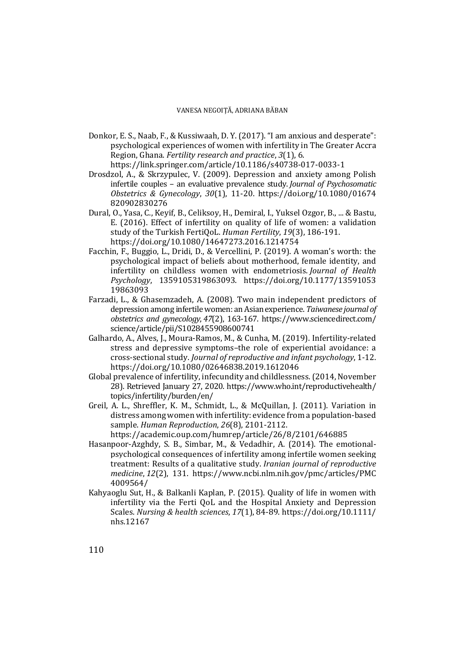Donkor, E. S., Naab, F., & Kussiwaah, D. Y. (2017). "I am anxious and desperate": psychological experiences of women with infertility in The Greater Accra Region, Ghana. *Fertility research and practice*, *3*(1), 6.

https://link.springer.com/article/10.1186/s40738-017-0033-1

- Drosdzol, A., & Skrzypulec, V. (2009). Depression and anxiety among Polish infertile couples – an evaluative prevalence study. *Journal of Psychosomatic Obstetrics & Gynecology*, *30*(1), 11-20. https://doi.org/10.1080/01674 820902830276
- Dural, O., Yasa, C., Keyif, B., Celiksoy, H., Demiral, I., Yuksel Ozgor, B., ... & Bastu, E. (2016). Effect of infertility on quality of life of women: a validation study of the Turkish FertiQoL. *Human Fertility*, *19*(3), 186-191. https://doi.org/10.1080/14647273.2016.1214754
- Facchin, F., Buggio, L., Dridi, D., & Vercellini, P. (2019). A woman's worth: the psychological impact of beliefs about motherhood, female identity, and infertility on childless women with endometriosis. *Journal of Health Psychology*, 1359105319863093. https://doi.org/10.1177/13591053 19863093
- Farzadi, L., & Ghasemzadeh, A. (2008). Two main independent predictors of depression among infertile women: an Asian experience. *Taiwanese journal of obstetrics and gynecology*, *47*(2), 163-167. https://www.sciencedirect.com/ science/article/pii/S1028455908600741
- Galhardo, A., Alves, J., Moura-Ramos, M., & Cunha, M. (2019). Infertility-related stress and depressive symptoms–the role of experiential avoidance: a cross-sectional study. *Journal of reproductive and infant psychology*, 1-12. https://doi.org/10.1080/02646838.2019.1612046
- Global prevalence of infertility, infecundity and childlessness. (2014, November 28). Retrieved January 27, 2020. https://www.who.int/reproductivehealth/ topics/infertility/burden/en/
- Greil, A. L., Shreffler, K. M., Schmidt, L., & McQuillan, J. (2011). Variation in distress among women with infertility: evidence from a population-based sample. *Human Reproduction*, *26*(8), 2101-2112.

https://academic.oup.com/humrep/article/26/8/2101/646885

- Hasanpoor-Azghdy, S. B., Simbar, M., & Vedadhir, A. (2014). The emotionalpsychological consequences of infertility among infertile women seeking treatment: Results of a qualitative study. *Iranian journal of reproductive medicine*, *12*(2), 131. https://www.ncbi.nlm.nih.gov/pmc/articles/PMC 4009564/
- Kahyaoglu Sut, H., & Balkanli Kaplan, P. (2015). Quality of life in women with infertility via the Ferti QoL and the Hospital Anxiety and Depression Scales. *Nursing & health sciences*, *17*(1), 84-89. https://doi.org/10.1111/ nhs.12167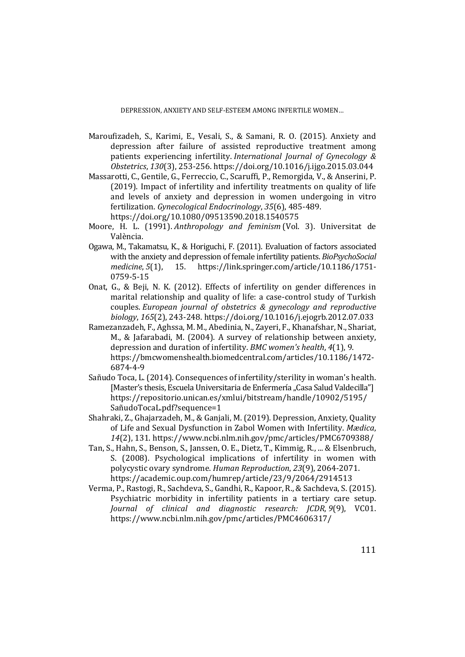DEPRESSION, ANXIETY AND SELF-ESTEEM AMONG INFERTILE WOMEN…

- Maroufizadeh, S., Karimi, E., Vesali, S., & Samani, R. O. (2015). Anxiety and depression after failure of assisted reproductive treatment among patients experiencing infertility. *International Journal of Gynecology & Obstetrics*, *130*(3), 253-256. https://doi.org/10.1016/j.ijgo.2015.03.044
- Massarotti, C., Gentile, G., Ferreccio, C., Scaruffi, P., Remorgida, V., & Anserini, P. (2019). Impact of infertility and infertility treatments on quality of life and levels of anxiety and depression in women undergoing in vitro fertilization. *Gynecological Endocrinology*, *35*(6), 485-489. https://doi.org/10.1080/09513590.2018.1540575
- Moore, H. L. (1991). *Anthropology and feminism* (Vol. 3). Universitat de València.
- Ogawa, M., Takamatsu, K., & Horiguchi, F. (2011). Evaluation of factors associated with the anxiety and depression of female infertility patients. *BioPsychoSocial medicine*, *5*(1), 15. https://link.springer.com/article/10.1186/1751- 0759-5-15
- Onat, G., & Beji, N. K. (2012). Effects of infertility on gender differences in marital relationship and quality of life: a case-control study of Turkish couples. *European journal of obstetrics & gynecology and reproductive biology*, *165*(2), 243-248. https://doi.org/10.1016/j.ejogrb.2012.07.033
- Ramezanzadeh, F., Aghssa, M. M., Abedinia, N., Zayeri, F., Khanafshar, N., Shariat, M., & Jafarabadi, M. (2004). A survey of relationship between anxiety, depression and duration of infertility. *BMC women's health*, *4*(1), 9. https://bmcwomenshealth.biomedcentral.com/articles/10.1186/1472- 6874-4-9
- Sañudo Toca, L. (2014). Consequences of infertility/sterility in woman's health. [Master's thesis, Escuela Universitaria de Enfermería "Casa Salud Valdecilla"] https://repositorio.unican.es/xmlui/bitstream/handle/10902/5195/ SañudoTocaL.pdf?sequence=1
- Shahraki, Z., Ghajarzadeh, M., & Ganjali, M. (2019). Depression, Anxiety, Quality of Life and Sexual Dysfunction in Zabol Women with Infertility. *Mædica*, *14*(2), 131. https://www.ncbi.nlm.nih.gov/pmc/articles/PMC6709388/
- Tan, S., Hahn, S., Benson, S., Janssen, O. E., Dietz, T., Kimmig, R., ... & Elsenbruch, S. (2008). Psychological implications of infertility in women with polycystic ovary syndrome. *Human Reproduction*, *23*(9), 2064-2071. https://academic.oup.com/humrep/article/23/9/2064/2914513
- Verma, P., Rastogi, R., Sachdeva, S., Gandhi, R., Kapoor, R., & Sachdeva, S. (2015). Psychiatric morbidity in infertility patients in a tertiary care setup. *Journal of clinical and diagnostic research: JCDR*, *9*(9), VC01. https://www.ncbi.nlm.nih.gov/pmc/articles/PMC4606317/